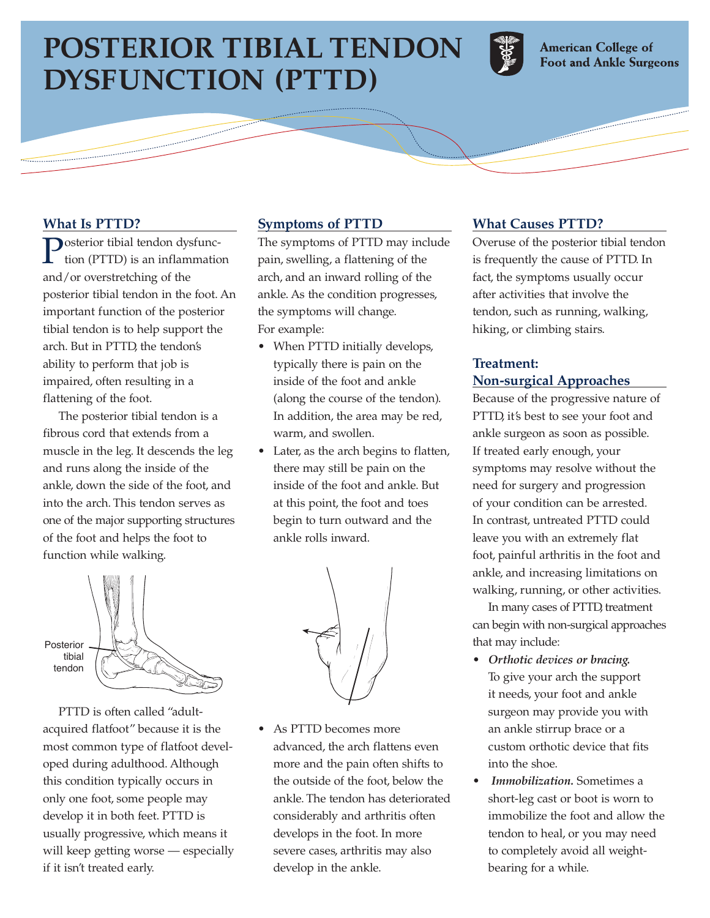# **POSTERIOR TIBIAL TENDON DYSFUNCTION (PTTD)**



**American College of Foot and Ankle Surgeons** 

## **What Is PTTD?**

**Posterior tibial tendon dysfunc**tion (PTTD) is an inflammation and/or overstretching of the posterior tibial tendon in the foot. An important function of the posterior tibial tendon is to help support the arch. But in PTTD, the tendon's ability to perform that job is impaired, often resulting in a flattening of the foot.

The posterior tibial tendon is a fibrous cord that extends from a muscle in the leg. It descends the leg and runs along the inside of the ankle, down the side of the foot, and into the arch. This tendon serves as one of the major supporting structures of the foot and helps the foot to function while walking.



PTTD is often called "adultacquired flatfoot" because it is the most common type of flatfoot developed during adulthood. Although this condition typically occurs in only one foot, some people may develop it in both feet. PTTD is usually progressive, which means it will keep getting worse — especially if it isn't treated early.

#### **Symptoms of PTTD**

The symptoms of PTTD may include pain, swelling, a flattening of the arch, and an inward rolling of the ankle. As the condition progresses, the symptoms will change. For example:

- When PTTD initially develops, typically there is pain on the inside of the foot and ankle (along the course of the tendon). In addition, the area may be red, warm, and swollen.
- Later, as the arch begins to flatten, there may still be pain on the inside of the foot and ankle. But at this point, the foot and toes begin to turn outward and the ankle rolls inward.



• As PTTD becomes more advanced, the arch flattens even more and the pain often shifts to the outside of the foot, below the ankle. The tendon has deteriorated considerably and arthritis often develops in the foot. In more severe cases, arthritis may also develop in the ankle.

#### **What Causes PTTD?**

Overuse of the posterior tibial tendon is frequently the cause of PTTD. In fact, the symptoms usually occur after activities that involve the tendon, such as running, walking, hiking, or climbing stairs.

## **Treatment: Non-surgical Approaches**

Because of the progressive nature of PTTD, it's best to see your foot and ankle surgeon as soon as possible. If treated early enough, your symptoms may resolve without the need for surgery and progression of your condition can be arrested. In contrast, untreated PTTD could leave you with an extremely flat foot, painful arthritis in the foot and ankle, and increasing limitations on walking, running, or other activities.

In many cases of PTTD, treatment can begin with non-surgical approaches that may include:

- *Orthotic devices or bracing.* To give your arch the support it needs, your foot and ankle surgeon may provide you with an ankle stirrup brace or a custom orthotic device that fits into the shoe.
- *Immobilization.* Sometimes a short-leg cast or boot is worn to immobilize the foot and allow the tendon to heal, or you may need to completely avoid all weightbearing for a while.